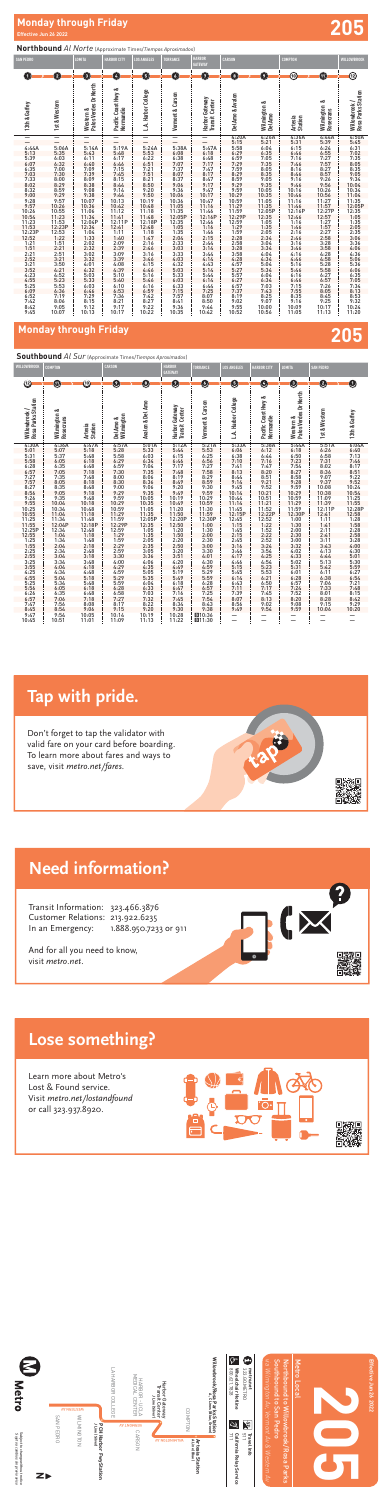# **Monday through Friday 205**

# **Northbound** *Al Norte* (Approximate Times/*Tiempos Aproximados*)

### **Southbound** *Al Sur* (Approximate Times/*Tiempos Aproximados*)

| <b>SAN PEDRO</b>                                                                                                                        |                                                                                                                        | LOMITA                                                                                                                                             | <b>HARBOR CITY</b>                                                                                                                                                       | <b>LOS ANGELES</b>                                                                                                                                                                  | <b>TORRANCE</b>                                                                                                                      | <b>HARBOR</b><br><b>GATEWAY</b>                                                                                                                           | <b>CARSON</b>                                                                                                                                                     |                                                                                                                                        | <b>COMPTON</b>                                                                                                                                                                                       |                                                                                                                                                             | WILLOWBROOK                                                                                                                                                                   |
|-----------------------------------------------------------------------------------------------------------------------------------------|------------------------------------------------------------------------------------------------------------------------|----------------------------------------------------------------------------------------------------------------------------------------------------|--------------------------------------------------------------------------------------------------------------------------------------------------------------------------|-------------------------------------------------------------------------------------------------------------------------------------------------------------------------------------|--------------------------------------------------------------------------------------------------------------------------------------|-----------------------------------------------------------------------------------------------------------------------------------------------------------|-------------------------------------------------------------------------------------------------------------------------------------------------------------------|----------------------------------------------------------------------------------------------------------------------------------------|------------------------------------------------------------------------------------------------------------------------------------------------------------------------------------------------------|-------------------------------------------------------------------------------------------------------------------------------------------------------------|-------------------------------------------------------------------------------------------------------------------------------------------------------------------------------|
| $\blacksquare$                                                                                                                          | $\mathbf{2}$                                                                                                           | O                                                                                                                                                  | Ø                                                                                                                                                                        | O                                                                                                                                                                                   | O                                                                                                                                    | Ø                                                                                                                                                         | $\left( \begin{array}{c} 3 \end{array} \right)$                                                                                                                   | 9                                                                                                                                      | ഌ                                                                                                                                                                                                    | $\blacksquare$                                                                                                                                              | ⑫                                                                                                                                                                             |
| 13th & Gaffey                                                                                                                           | 1st & Western                                                                                                          | Palos Verdes Dr North<br>Western &                                                                                                                 | ಹ<br>Pacific Coast Hwy<br>Normandie                                                                                                                                      | L.A. Harbor College                                                                                                                                                                 | Vermont & Carson                                                                                                                     | Harbor Gateway<br>Transit Center                                                                                                                          | Del Amo & Avalon                                                                                                                                                  | Wilmington &<br>Del Amo                                                                                                                | Artesia<br>Station                                                                                                                                                                                   | ∞<br>Wilmington<br>Rosecrans                                                                                                                                | Rosa Parks Station<br>Willowbrook/                                                                                                                                            |
| $\equiv$                                                                                                                                |                                                                                                                        |                                                                                                                                                    | —                                                                                                                                                                        | —                                                                                                                                                                                   | —                                                                                                                                    | —                                                                                                                                                         | 4:20A                                                                                                                                                             |                                                                                                                                        | 4:36A                                                                                                                                                                                                |                                                                                                                                                             |                                                                                                                                                                               |
| 4:44A<br>5:13<br>$5:39$<br>$6:07$<br>$6:35$<br>$7:03$<br>$7:33$<br>$8:02$<br>$8:32$<br>$9:28$<br>$9:28$<br>$9:57$<br>$10:26$<br>$10:54$ | 5:06A<br>5:35<br>6.677.88.89.9970.10117.12.12.12.12.13.14.4.5.15.67.13.12.12.12.12.12.12.13.13.14.4.5.15.67.12.12.12.1 | 5:14A<br>5:43<br>6:11<br>$6:40$<br>7:09<br>7:39<br>$8:09$<br>$8:38$<br>$9:08$<br>$9:38$<br>$10:07$<br>$10:36$<br>11:06<br>11:34<br>12:04P<br>12:34 | 5:19A<br>5:48<br>6:17<br>$6:46$<br>7:15<br>7:45<br>$8:15$<br>$8:44$<br>$9:14$<br>$9:44$<br>$10:13$<br>$10:42$<br>$\begin{array}{c} 11:12 \\ 11:41 \\ 12:11P \end{array}$ | $\overline{\phantom{0}}$<br>5:24A<br>5:53<br>6:22<br>6:51<br>$7:21$<br>$7:51$<br>$8:21$<br>$8:50$<br>$9:20$<br>$9:50$<br>10:19<br>10:48<br>$\frac{11:18}{11:48}$<br>12:18P<br>12:48 | 5:38A<br>6:08<br>6:38<br>7:07<br>$7:37$<br>$8:07$<br>$8:37$<br>$9:06$<br>9:36<br>10:06<br>10:36<br>11:05<br>11:35<br>12:05P<br>12:35 | $5:47A$<br>$6:18$<br>$6:48$<br>7:17<br>$7:47$<br>8:17<br>$\frac{8:47}{9:17}$<br>$9:47$<br>10:17<br>$10:47$<br>11:16<br>11:46<br>12:16P<br>$12:46$<br>1:16 | $\frac{4:205}{5:58}$<br>5:58<br>6:29<br>6:29<br>7:59<br>7:59<br>8:29<br>$8:59$<br>9:29<br>$7.27$<br>$9.59$<br>$10.29$<br>$10.59$<br>$11.29$<br>$12.29$<br>$12.29$ | $4:26A$<br>5:21<br>6:04<br>6:35<br>6:35<br>7:05<br>8:35<br>9:35<br>9:35<br>$10:05$<br>$10:35$<br>$11:05$<br>$11:35$<br>12:05P<br>12:35 | $5:31$<br>$6:15$<br>$6:46$<br>7:16<br>7:46<br>8:16<br>8:46<br>$9:16$<br>9:46<br>10:16<br>$10:46$<br>11:16<br>11:46<br>12:16P<br>12:46<br>1:16                                                        | 4:44A<br>5:39<br>6:24:55<br>6:25<br>7:27<br>7:27<br>8:59:26<br>9:56<br>10:26<br>10:56<br>11:27<br>11:57<br>12:27<br>12:57                                   | $4:50A$<br>$5:45$<br>$6:31$<br>$7:02$<br>$7:35$<br>$8:05$<br>$9:34$<br>$9:34$<br>$10:34$<br>$\begin{array}{r} 10.34 \\ 10.34 \\ 11.04 \\ 11.35 \\ 12.05 \text{P} \end{array}$ |
|                                                                                                                                         |                                                                                                                        |                                                                                                                                                    |                                                                                                                                                                          | $\frac{1:18}{1:47}$                                                                                                                                                                 |                                                                                                                                      | $1:46$<br>$2:15$                                                                                                                                          |                                                                                                                                                                   |                                                                                                                                        |                                                                                                                                                                                                      |                                                                                                                                                             |                                                                                                                                                                               |
|                                                                                                                                         |                                                                                                                        | $\begin{array}{c} 1:04\\ 1:33\\ 2:02\\ 2:32\\ 3:02\\ 3:32\\ 4:01\\ 4:32\\ 5:03\\ 5:33\\ 6:03 \end{array}$                                          | 12:41<br>1:11<br>1:40<br>2:09<br>2:39<br>3:39<br>3:39<br>4:08<br>3:10<br>5:5<br>5:5<br>5:5<br>7:36<br>2:1                                                                | $2:16$<br>$2:46$<br>$3:16$<br>$3:46$<br>$4:15$<br>$4:46$<br>$\frac{5:16}{5:46}$                                                                                                     | $\begin{array}{l} 1:05 \\ 1:35 \\ 2:04 \\ 2:33 \\ 3:03 \\ 3:33 \\ 4:03 \\ 4:32 \end{array}$<br>$\frac{5:03}{5:33}$<br>6:03           | $\frac{2:44}{3:14}$<br>$3:44$<br>4:14<br>4:43<br>5:14<br>5:44<br>6:14                                                                                     | 12:59<br>1:29<br>1:52:28<br>2:58<br>2:58<br>3:28<br>3:52<br>4:28<br>5:27<br>5:57<br>5:57<br>5:27                                                                  | $1:05$<br>$2:05$<br>$2:04$<br>$3:04$<br>$4:04$<br>$4:04$<br>$4:04$<br>$5:5$<br>$6:34$<br>$7:03$<br>$8:25$<br>$7:00$<br>$10:5$          | $1:46$<br>2:16<br>2:46<br>3:16<br>3:16<br>3:46<br>4:46<br>5:46<br>5:46<br>5:46<br>5:53<br>5:35<br>3:35<br>3:35<br>3:35<br>3:35<br>3:46<br>4:55<br>35<br>3:16<br>4:55<br>3:45<br>5:45<br>5:45<br>5:41 | 1:27<br>2:27<br>2:58<br>3:28<br>3:28<br>3:58<br>4:28<br>5:28<br>5:27<br>26:27<br>26:27<br>26:45<br>27<br>26:45<br>27<br>28:45<br>27<br>28:45<br>27<br>25:28 | $12:35\n1:055\n2:33\n3:06\n4:36\n5:56\n6:36\n6:37\n7:38\n8:32\n9:32$                                                                                                          |
|                                                                                                                                         |                                                                                                                        |                                                                                                                                                    |                                                                                                                                                                          |                                                                                                                                                                                     | $6:33$<br>$7:15$                                                                                                                     |                                                                                                                                                           |                                                                                                                                                                   |                                                                                                                                        |                                                                                                                                                                                                      |                                                                                                                                                             |                                                                                                                                                                               |
| $8:42$<br>9:45                                                                                                                          | 8:06<br>9:05<br>10:07                                                                                                  | $\begin{array}{r} 0.03 \\ 6:46 \\ 7:29 \\ 8:15 \\ 9:12 \\ 10:13 \end{array}$                                                                       | 9:17<br>10:17                                                                                                                                                            | $6:16$<br>$6:59$<br>$7:42$<br>8:27<br>$9:22$<br>10:22                                                                                                                               | $7:57$<br>$8:41$<br>9:36<br>10:35                                                                                                    | $6:44$<br>$7:25$<br>$8:07$<br>$8:50$<br>9:44<br>10:42                                                                                                     | $6:57$<br>$7:37$<br>$8:19$<br>$9:02$<br>$9:55$<br>10:52                                                                                                           |                                                                                                                                        |                                                                                                                                                                                                      | 10:17<br>11:13                                                                                                                                              | $10:24$<br>11:20                                                                                                                                                              |

Subject to change without notice<br>Sujeto a cambios sin previo aviso Subject to change without notice *Sujeto a cambios sin previo aviso*



**Effective Jun 26 2022** Effective Jun 26 2022

## **Lose something? Need information?** To learn more about fares and ways to Lose some

Learn more about Metro's Lost & Found service. Visit metro.net/lostandfound Learn more about Metro's **1.888.950.** 

Transit Information: 323.466.3876 Customer Relations: 213.922.6235 In an Emergency: 1.888.950.7233 or 911

| WILLOWBROOK                                                                                        | <b>COMPTON</b>                                |                                                      | <b>CARSON</b>                                            |                                                          | <b>HARBOR</b><br><b>GATEWAY</b>                         | <b>TORRANCE</b>                                                       | <b>LOS ANGELES</b>                                        | <b>HARBOR CITY</b>                                                                       | <b>LOMITA</b>                                                                               | <b>SAN PEDRO</b>                           |                                                              |
|----------------------------------------------------------------------------------------------------|-----------------------------------------------|------------------------------------------------------|----------------------------------------------------------|----------------------------------------------------------|---------------------------------------------------------|-----------------------------------------------------------------------|-----------------------------------------------------------|------------------------------------------------------------------------------------------|---------------------------------------------------------------------------------------------|--------------------------------------------|--------------------------------------------------------------|
| ⑫                                                                                                  | $\overline{11}$                               | 仞                                                    | $\overline{9}$                                           | $\left  \mathbf{3}\right $                               | Ø                                                       | G                                                                     | 5 <sub>5</sub>                                            | Ø                                                                                        | O                                                                                           | 2                                          | 0                                                            |
| Rosa Parks Station<br>Willowbrook/                                                                 | ∞<br>Wilmington 8<br>Rosecrans                | Artesia<br>Station                                   | Wilmington<br>Del Amo &                                  | Avalon & Del Amo                                         | Harbor Gateway<br><b>Transit Center</b>                 | Vermont & Carson                                                      | L.A. Harbor College                                       | Pacific Coast Hwy &<br>Normandie                                                         | Palos Verdes Dr North<br>Western &                                                          | 1st & Western                              | 13th & Gaffey                                                |
| 4:30A<br>$\frac{4:301}{5:01}$<br>$\frac{5:31}{5:58}$<br>$\frac{6:28}{5:57}$<br>$\frac{7:27}{7:57}$ | 4:36A<br>$5:07$<br>$5:37$<br>$6:05$<br>$6:35$ | 4:47A<br>5:18<br>$5:48$<br>6:18                      | 4:57A<br>5:28<br>$5:58$<br>$6:29$                        | 5:01A<br>5:33<br>5:33<br>6:03<br>6:34<br>7:04<br>7:35    | 5:12A<br>5:44<br>6:15<br>$6:46$<br>7:17                 | 5:21A<br>5:53<br>6:25<br>6:56<br>7:27                                 | 5:33A<br>$6:06$<br>$6:38$<br>$7:10$<br>7:41               | 5:38A<br>6:12<br>6:44<br>7:16<br>7:47                                                    | 5:44A<br>$6:18$<br>$6:50$<br>$7:23$<br>$7:54$                                               | 5:51A<br>6:26<br>$6:58$<br>7:31<br>8:02    | 6:04A<br>$6:40$<br>$7:13$                                    |
| $8:27$<br>$8:56$                                                                                   | 7:05<br>7:35<br>$8:05$<br>$8:35$<br>$9:05$    | $6:48$<br>$7:18$<br>$7:48$<br>8:18<br>$8:48$<br>9:18 | $6:59$<br>$7:30$<br>$8:00$<br>$8:30$<br>$9:00$<br>$9:29$ | $8:06$<br>$8:36$<br>$9:06$<br>$9:35$                     | $7:48$<br>8:19<br>8:49<br>9:20<br>9:49                  | 7:58<br>$8:29$<br>$8:59$<br>$9:30$<br>$9:59$                          | 8:13<br>8:44<br>9:14<br>$9:45$<br>10:14                   | $8:20$<br>8:51<br>9:21<br>9:52<br>10:21                                                  |                                                                                             | 8:36<br>9:07<br>9:37<br>10:08<br>10:38     | $7:46$<br>8:17<br>8:51<br>9:22<br>9:52<br>$10:24$<br>$10:54$ |
| $9:26$<br>$9:55$<br>$10:25$<br>$10:55$                                                             | 9:35<br>$10:04$<br>$10:34$<br>11:04           | 9:48<br>10:18<br>$10:48$<br>$11:18$                  | $9:59$<br>$10:29$<br>$10:59$<br>$11:29$                  | 10:05<br>10:35<br>$11:05$<br>$11:35$                     | 10:19<br>$\frac{10:49}{11:20}$<br>11:50                 | $\frac{10:29}{10:59}$<br>11:30                                        | 10:44<br>11:14<br>$11:45$<br>$12:15P$                     | $\begin{array}{r} 10:51 \\ 11:21 \\ 11:52 \\ 12:22P \end{array}$                         | $7.34$<br>8:27<br>8:58<br>9:28<br>9:59<br>9:59<br>10:59<br>11:59<br>11:59<br>12:30<br>12:30 | 11:09<br>11:39<br>12:11P<br>12:41          | 11:25<br>11:55<br>12:28P<br>12:58                            |
| $11:25$<br>$11:55$<br>$12:25P$<br>$12:55$<br>1:25<br>1:25<br>1:55                                  | 11:34<br>12:04P<br>12:34<br>1:04<br>1:34      | 11:48<br>12:18P<br>$12:48$<br>$1:18$<br>$1:48$       | $11:59$<br>$12:29P$<br>$12:59$<br>$1:29$                 | 12:05P<br>12:35<br>$1:05$<br>$1:35$                      | 12:20P<br>12:50<br>$1:20$<br>$1:50$<br>$2:20$<br>$2:50$ | $11:59$<br>$12:30P$<br>$1:00$<br>$1:30$<br>$2:00$<br>$2:30$<br>$3:00$ | $12:45$<br>$1:15$<br>$1:45$<br>$2:15$                     | $\begin{array}{r} 12:52 \\ 12:52 \\ 1:52 \\ 2:22 \\ 2:52 \\ 3:24 \\ 4:25 \\ \end{array}$ | $1:00$<br>$1:30$<br>$2:00$<br>$2:30$<br>$3:00$<br>$3:32$                                    | 1:11<br>1:41<br>$2:11$<br>$2:41$<br>$3:11$ | 1:28<br>1:58<br>2:28<br>2:58<br>3:28                         |
| $2:25$<br>$2:55$<br>$3:25$<br>$3:55$<br>$4:25$<br>$4:55$                                           | 2:04<br>$2:34$<br>$3:04$<br>3:34              | $2:18$<br>$2:48$<br>$3:18$<br>$3:48$                 | $1:59$<br>$2:29$<br>$2:59$<br>$3:30$<br>$4:00$<br>$4:29$ | $2:05$<br>$2:35$<br>$3:05$<br>$3:36$<br>$4:06$<br>$4:35$ | 3:20<br>3:51<br>4:20                                    | $3:30$<br>4:01                                                        | $\frac{2:45}{3:16}$<br>$3:46$<br>$4:17$<br>$4:46$<br>5:15 |                                                                                          | $4:02$<br>$4:33$<br>$5:02$<br>$5:31$<br>$6:01$<br>$6:28$                                    | 3:43<br>4:13<br>4:44<br>5:13               | 4:00<br>4:30<br>5:01                                         |
| $5:25$<br>$5:56$                                                                                   | 4:04<br>4:34<br>5:04<br>5:34                  | $4:18$<br>$4:48$<br>$5:18$<br>$5:48$<br>$6:18$       | $4:59$<br>$5:29$<br>$5:59$<br>6:28                       | $5:05$<br>$5:35$<br>$6:04$<br>$6:33$                     | 4:49<br>5:19<br>5:49<br>6:18<br>6:47                    | $4:30$<br>$4:59$<br>$5:29$<br>$5:59$<br>$6:28$<br>$6:57$<br>$7:25$    | $5:45$<br>6:14                                            | $4:54$<br>$5:23$<br>$5:53$<br>$6:21$<br>$6:50$<br>$7:17$<br>$7:45$                       |                                                                                             | 5:42<br>6:11<br>6:38<br>$7:06$<br>$7:33$   | 5:30<br>5:59<br>6:27<br>6:54<br>$7:21$<br>$7:48$<br>$8:15$   |
| $6:26$<br>$6:57$<br>$7:47$<br>$8:45$                                                               | $6:05$<br>$6:35$<br>7:06<br>7:56<br>8:54      | 6:48<br>$7:18$<br>$8:08$<br>9:06                     | $6:58$<br>7:27<br>$\frac{8:17}{9:15}$                    | $7:03$<br>$7:32$<br>8:22<br>9:20                         | 7:16<br>7:45<br>8:34                                    | 7:54<br>$8:43$<br>9:38                                                | $6:43$<br>7:11<br>7:39<br>8:07<br>8:56<br>9:49            | $8:13$<br>$9:02$<br>9:54                                                                 | $6:57$<br>7:24<br>7:52<br>8:20<br>9:08<br>9:59                                              | $8:01$<br>$8:28$<br>9:15<br>10:06          | $8:42$<br>$9:29$<br>10:20                                    |
| $9:47$<br>10:45                                                                                    | 9:54<br>10:51                                 | 10:05<br>11:01                                       | 10:14<br>11:09                                           | 10:19<br>11:13                                           | 10:28<br>11:22                                          | 图10:36<br>■11:30                                                      |                                                           |                                                                                          | —                                                                                           |                                            |                                                              |

**205**





And for all you need to know, visit metro.net.

Transit Information: 323.466.3876

# **Need information? Tap with pride.**





# **Tap with pride.**

Don't forget to tap the validator with valid fare on your card before boarding. To learn more about fares and ways to save, visit metro.net/fares.